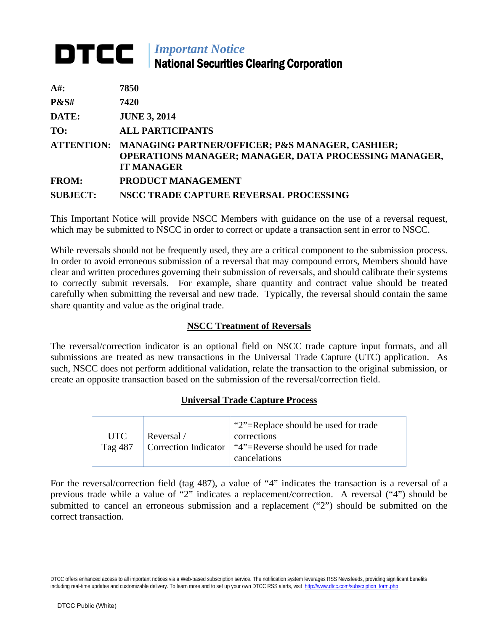# *Important Notice* National Securities Clearing Corporation

| $A#$ :          | 7850                                                                                                                                     |
|-----------------|------------------------------------------------------------------------------------------------------------------------------------------|
| <b>P&amp;S#</b> | 7420                                                                                                                                     |
| DATE:           | <b>JUNE 3, 2014</b>                                                                                                                      |
| TO:             | <b>ALL PARTICIPANTS</b>                                                                                                                  |
|                 | ATTENTION: MANAGING PARTNER/OFFICER; P&S MANAGER, CASHIER;<br>OPERATIONS MANAGER; MANAGER, DATA PROCESSING MANAGER,<br><b>IT MANAGER</b> |
| <b>FROM:</b>    | <b>PRODUCT MANAGEMENT</b>                                                                                                                |
| <b>SUBJECT:</b> | NSCC TRADE CAPTURE REVERSAL PROCESSING                                                                                                   |

This Important Notice will provide NSCC Members with guidance on the use of a reversal request, which may be submitted to NSCC in order to correct or update a transaction sent in error to NSCC.

While reversals should not be frequently used, they are a critical component to the submission process. In order to avoid erroneous submission of a reversal that may compound errors, Members should have clear and written procedures governing their submission of reversals, and should calibrate their systems to correctly submit reversals. For example, share quantity and contract value should be treated carefully when submitting the reversal and new trade. Typically, the reversal should contain the same share quantity and value as the original trade.

# **NSCC Treatment of Reversals**

The reversal/correction indicator is an optional field on NSCC trade capture input formats, and all submissions are treated as new transactions in the Universal Trade Capture (UTC) application. As such, NSCC does not perform additional validation, relate the transaction to the original submission, or create an opposite transaction based on the submission of the reversal/correction field.

# **Universal Trade Capture Process**

| <b>UTC</b> | Reversal / | "2"=Replace should be used for trade<br>corrections                                       |
|------------|------------|-------------------------------------------------------------------------------------------|
| Тая 487    |            | $\vert$ Correction Indicator $\vert$ "4"=Reverse should be used for trade<br>cancelations |

For the reversal/correction field (tag 487), a value of "4" indicates the transaction is a reversal of a previous trade while a value of "2" indicates a replacement/correction. A reversal ("4") should be submitted to cancel an erroneous submission and a replacement ("2") should be submitted on the correct transaction.

DTCC offers enhanced access to all important notices via a Web-based subscription service. The notification system leverages RSS Newsfeeds, providing significant benefits including real-time updates and customizable delivery. To learn more and to set up your own DTCC RSS alerts, visit [http://www.dtcc.com/subscription\\_form.php](http://www.dtcc.com/subscription_form.php)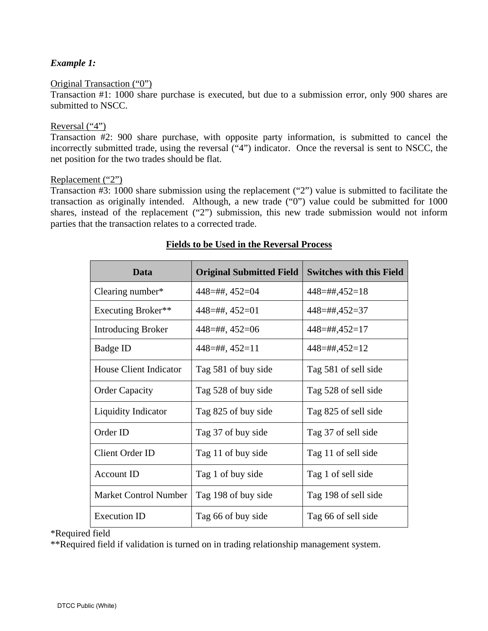## *Example 1:*

#### Original Transaction ("0")

Transaction #1: 1000 share purchase is executed, but due to a submission error, only 900 shares are submitted to NSCC.

#### Reversal ("4")

Transaction #2: 900 share purchase, with opposite party information, is submitted to cancel the incorrectly submitted trade, using the reversal ("4") indicator. Once the reversal is sent to NSCC, the net position for the two trades should be flat.

#### Replacement ("2")

Transaction #3: 1000 share submission using the replacement ("2") value is submitted to facilitate the transaction as originally intended. Although, a new trade ("0") value could be submitted for 1000 shares, instead of the replacement ("2") submission, this new trade submission would not inform parties that the transaction relates to a corrected trade.

| Data                         | <b>Original Submitted Field</b> | <b>Switches with this Field</b> |
|------------------------------|---------------------------------|---------------------------------|
| Clearing number*             | $448 = \#$ #, $452 = 04$        | $448 = \#4,452 = 18$            |
| Executing Broker**           | $448 = \#$ , $452 = 01$         | 448=##,452=37                   |
| <b>Introducing Broker</b>    | $448 = \#$ #, $452 = 06$        | $448 = \#4,452 = 17$            |
| Badge ID                     | $448 = \#$ , $452 = 11$         | $448 = \#4,452 = 12$            |
| House Client Indicator       | Tag 581 of buy side             | Tag 581 of sell side            |
| <b>Order Capacity</b>        | Tag 528 of buy side             | Tag 528 of sell side            |
| Liquidity Indicator          | Tag 825 of buy side             | Tag 825 of sell side            |
| Order ID                     | Tag 37 of buy side              | Tag 37 of sell side             |
| <b>Client Order ID</b>       | Tag 11 of buy side              | Tag 11 of sell side             |
| <b>Account ID</b>            | Tag 1 of buy side               | Tag 1 of sell side              |
| <b>Market Control Number</b> | Tag 198 of buy side             | Tag 198 of sell side            |
| <b>Execution ID</b>          | Tag 66 of buy side              | Tag 66 of sell side             |

## **Fields to be Used in the Reversal Process**

\*Required field

\*\*Required field if validation is turned on in trading relationship management system.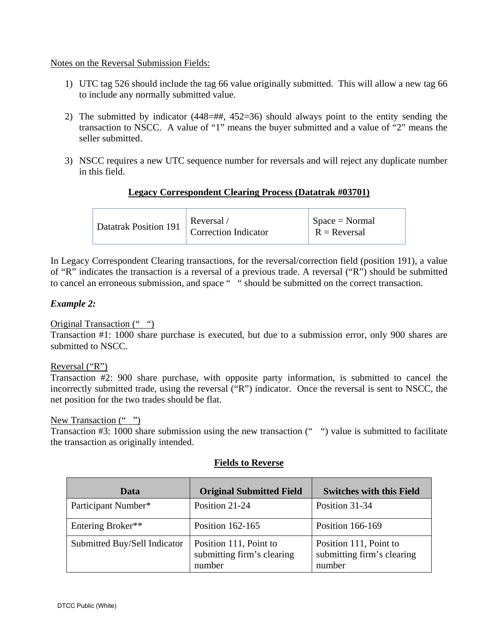## Notes on the Reversal Submission Fields:

- 1) UTC tag 526 should include the tag 66 value originally submitted. This will allow a new tag 66 to include any normally submitted value.
- 2) The submitted by indicator (448=##, 452=36) should always point to the entity sending the transaction to NSCC. A value of "1" means the buyer submitted and a value of "2" means the seller submitted.
- 3) NSCC requires a new UTC sequence number for reversals and will reject any duplicate number in this field.

## **Legacy Correspondent Clearing Process (Datatrak #03701)**

| <b>Correction Indicator</b><br>$R = Reversal$ |
|-----------------------------------------------|
|-----------------------------------------------|

In Legacy Correspondent Clearing transactions, for the reversal/correction field (position 191), a value of "R" indicates the transaction is a reversal of a previous trade. A reversal ("R") should be submitted to cancel an erroneous submission, and space " " should be submitted on the correct transaction.

## *Example 2:*

# Original Transaction (" ")

Transaction #1: 1000 share purchase is executed, but due to a submission error, only 900 shares are submitted to NSCC.

## Reversal ("R")

Transaction #2: 900 share purchase, with opposite party information, is submitted to cancel the incorrectly submitted trade, using the reversal ("R") indicator. Once the reversal is sent to NSCC, the net position for the two trades should be flat.

#### New Transaction (" ")

Transaction #3: 1000 share submission using the new transaction (" ") value is submitted to facilitate the transaction as originally intended.

| Data                         | <b>Original Submitted Field</b>                                | <b>Switches with this Field</b>                                |
|------------------------------|----------------------------------------------------------------|----------------------------------------------------------------|
| Participant Number*          | Position 21-24                                                 | Position 31-34                                                 |
| Entering Broker**            | Position 162-165                                               | Position 166-169                                               |
| Submitted Buy/Sell Indicator | Position 111, Point to<br>submitting firm's clearing<br>number | Position 111, Point to<br>submitting firm's clearing<br>number |

## **Fields to Reverse**